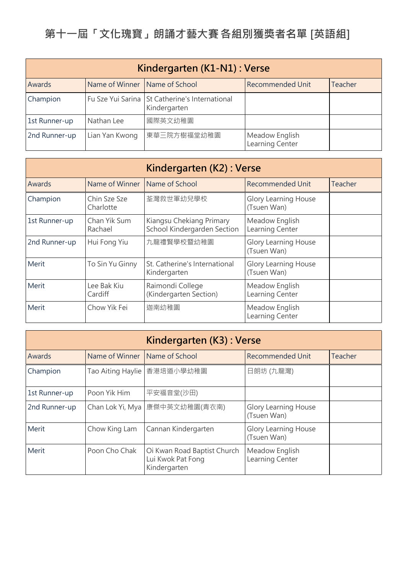| Kindergarten (K1-N1) : Verse |                               |                                                                |                                   |         |
|------------------------------|-------------------------------|----------------------------------------------------------------|-----------------------------------|---------|
| Awards                       | Name of Winner Name of School |                                                                | <b>Recommended Unit</b>           | Teacher |
| Champion                     |                               | Fu Sze Yui Sarina St Catherine's International<br>Kindergarten |                                   |         |
| 1st Runner-up                | Nathan Lee                    | 國際英文幼稚園                                                        |                                   |         |
| 2nd Runner-up                | Lian Yan Kwong                | 東華三院方樹福堂幼稚園                                                    | Meadow English<br>Learning Center |         |

| Kindergarten (K2): Verse |                           |                                                         |                                            |         |
|--------------------------|---------------------------|---------------------------------------------------------|--------------------------------------------|---------|
| <b>Awards</b>            | Name of Winner            | Name of School                                          | <b>Recommended Unit</b>                    | Teacher |
| Champion                 | Chin Sze Sze<br>Charlotte | 荃灣救世軍幼兒學校                                               | <b>Glory Learning House</b><br>(Tsuen Wan) |         |
| 1st Runner-up            | Chan Yik Sum<br>Rachael   | Kiangsu Chekiang Primary<br>School Kindergarden Section | Meadow English<br>Learning Center          |         |
| 2nd Runner-up            | Hui Fong Yiu              | 九龍禮賢學校暨幼稚園                                              | <b>Glory Learning House</b><br>(Tsuen Wan) |         |
| Merit                    | To Sin Yu Ginny           | St. Catherine's International<br>Kindergarten           | <b>Glory Learning House</b><br>(Tsuen Wan) |         |
| Merit                    | Lee Bak Kiu<br>Cardiff    | Raimondi College<br>(Kindergarten Section)              | Meadow English<br>Learning Center          |         |
| Merit                    | Chow Yik Fei              | 迦南幼稚園                                                   | Meadow English<br>Learning Center          |         |

| Kindergarten (K3) : Verse |                   |                                                                  |                                            |         |
|---------------------------|-------------------|------------------------------------------------------------------|--------------------------------------------|---------|
| Awards                    | Name of Winner    | Name of School                                                   | <b>Recommended Unit</b>                    | Teacher |
| Champion                  | Tao Aiting Haylie | 香港培道小學幼稚園                                                        | 日朗坊 (九龍灣)                                  |         |
| 1st Runner-up             | Poon Yik Him      | 平安福音堂(沙田)                                                        |                                            |         |
| 2nd Runner-up             | Chan Lok Yi, Mya  | 康傑中英文幼稚園(青衣南)                                                    | <b>Glory Learning House</b><br>(Tsuen Wan) |         |
| Merit                     | Chow King Lam     | Cannan Kindergarten                                              | <b>Glory Learning House</b><br>(Tsuen Wan) |         |
| Merit                     | Poon Cho Chak     | Oi Kwan Road Baptist Church<br>Lui Kwok Pat Fong<br>Kindergarten | Meadow English<br>Learning Center          |         |